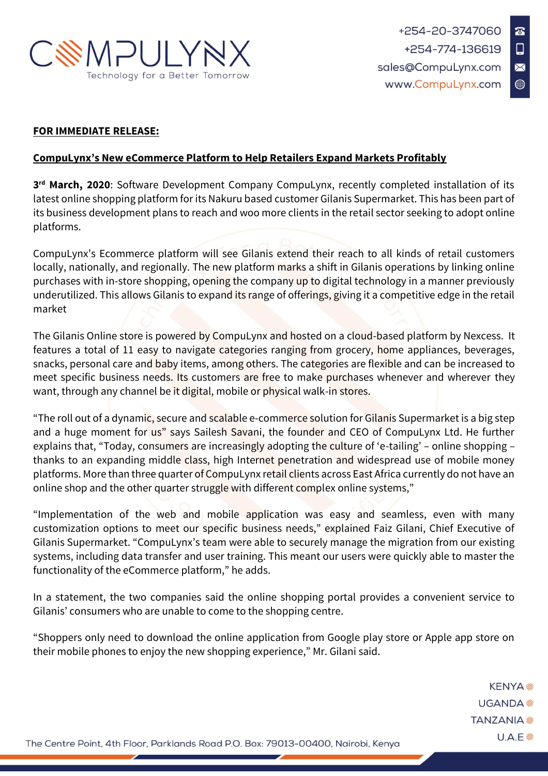

## **FOR IMMEDIATE RELEASE:**

## **CompuLynx's New eCommerce Platform to Help Retailers Expand Markets Profitably**

**3 rd March, 2020**: Software Development Company CompuLynx, recently completed installation of its latest online shopping platform for its Nakuru based customer Gilanis Supermarket. This has been part of its business development plans to reach and woo more clients in the retail sector seeking to adopt online platforms.

CompuLynx's Ecommerce platform will see Gilanis extend their reach to all kinds of retail customers locally, nationally, and regionally. The new platform marks a shift in Gilanis operations by linking online purchases with in-store shopping, opening the company up to digital technology in a manner previously underutilized. This allows Gilanis to expand its range of offerings, giving it a competitive edge in the retail market

The Gilanis Online store is powered by CompuLynx and hosted on a cloud-based platform by Nexcess. It features a total of 11 easy to navigate categories ranging from grocery, home appliances, beverages, snacks, personal care and baby items, among others. The categories are flexible and can be increased to meet specific business needs. Its customers are free to make purchases whenever and wherever they want, through any channel be it digital, mobile or physical walk-in stores.

"The roll out of a dynamic, secure and scalable e-commerce solution for Gilanis Supermarket is a big step and a huge moment for us" says Sailesh Savani, the founder and CEO of CompuLynx Ltd. He further explains that, "Today, consumers are increasingly adopting the culture of 'e-tailing' – online shopping – thanks to an expanding middle class, high Internet penetration and widespread use of mobile money platforms. More than three quarter of CompuLynx retail clients across East Africa currently do not have an online shop and the other quarter struggle with different complex online systems,"

"Implementation of the web and mobile application was easy and seamless, even with many customization options to meet our specific business needs," explained Faiz Gilani, Chief Executive of Gilanis Supermarket. "CompuLynx's team were able to securely manage the migration from our existing systems, including data transfer and user training. This meant our users were quickly able to master the functionality of the eCommerce platform," he adds.

In a statement, the two companies said the online shopping portal provides a convenient service to Gilanis' consumers who are unable to come to the shopping centre.

"Shoppers only need to download the online application from Google play store or Apple app store on their mobile phones to enjoy the new shopping experience," Mr. Gilani said.

> **KENYA**<sup>®</sup> UGANDA<sup>参</sup> **TANZANIA**  $U.A.E$

The Centre Point, 4th Floor, Parklands Road P.O. Box: 79013-00400, Nairobi, Kenya